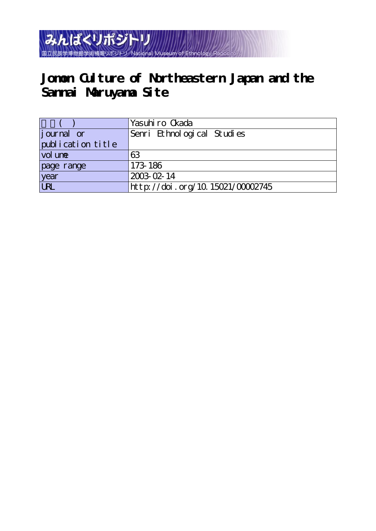

# **Jomon Culture of Northeastern Japan and the Sannai Maruyama Site**

|                    | Yasuhi ro Ckada                  |
|--------------------|----------------------------------|
| <i>j</i> ournal or | Senri Ethnological Studies       |
| publication title  |                                  |
| vol une            | 63                               |
| page range         | 173-186                          |
| year<br>URL        | 2003-02-14                       |
|                    | http://doi.org/10.15021/00002745 |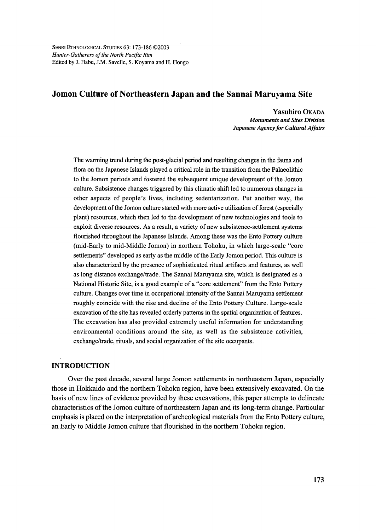SENRI ETHNOLOGICAL STUDIES 63: 173-186 @2003 Hunter-Gatherers of the North Pacific Rim Edited by J. Habu, J.M. Savelle, S. Koyama and H. Hongo

# Jomon Culture of Northeastern Japan and the Sannai Maruyama Site

 Yasuhiro OKADA Monuments and Sites Division Japanese Agency for Cultural Affairs

The warming trend during the post-glacial period and resulting changes in the fauna and flora on the Japanese Islands played a critical role in the transition from the Palaeolithic to the Jomon periods and fbstered the subsequent unique development of the Jomon culture. Subsistence changes triggered by this climatic shift led to numerous changes in other aspects of people's lives, including sedentarization. Put another way, the development of the Jomon culture started with more active utilization of forest (especially plant) resources, which then led to the development of new technologies and tools to exploit diverse resources. As a result, a variety of new subsistence-settlement systems flourished throughout the Japanese Islands. Among these was the Ento Pottery culture (mid-Early to mid-Middle Jomon) in northern Tohoku, in which large-scale "core settlements" developed as early as the middle of the Early Jomon period. This culture is also characterized by the presence of sophisticated ritual artifacts and features, as well as long distance exchange/trade. The Sannai Maruyama site, which is designated as a National Historic Site, is a good example of a "core settlement" from the Ento Pottery culture. Changes over tirne in occupational intensity of the Sannai Maruyama settlement roughly coincide with the rise and decline of the Ento Pottery Culture. Large-scale excavation of the site has revealed orderly patterns in the spatial organization of features. The excavation has also provided extremely useful information for understanding environmental conditions around the site, as well as the subsistence activities, exchange/trade, rituals, and social organization of the site occupants.

## INTRODUCTION

 Over the past decade, several large Jomon settlements in northeastem Japan, especially those in Hokkaido and the northern Tohoku region, have been extensively excavated. On the basis of new lines of evidence provided by these excavations, this paper attempts to delineate characteristics of the Jomon culture of northeastern Japan and its long-term change. Particular emphasis is placed on the interpretation of archeological materials from the Ento Pottery culture, an Early to Middle Jomon culture that flourished in the northern Tohoku region.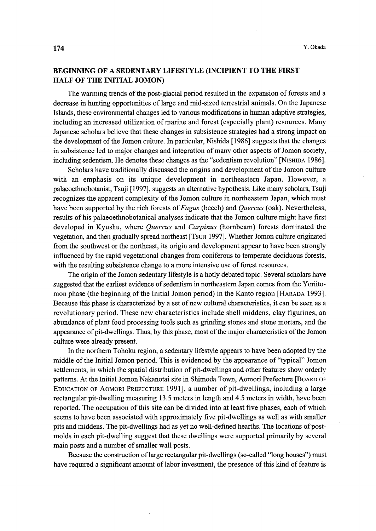# BEGINNING OF A SEDENTARY LIFESTYLE (INCIPIENT TO THE FIRST HALF OF THE INITIAL JOMON)

The warming trends of the post-glacial period resulted in the expansion of forests and a decrease in hunting opportunities of large and mid-sized terrestrial animals. On the Japanese Islands, these environmenta1 changes led to various modifications in human adaptive strategies, including an increased utilization of marine and forest (especially plant) resources. Many Japanese scholars believe that these changes in subsistence strategies had a strong impact on the development of the Jomon culture. In particular, Nishida [1986] suggests that the changes in subsistence led to major changes and integration of many other aspects of Jomon society, including sedentism. He denotes these changes as the "sedentism revolution" [NisHiDA 1986].

 Scholars have traditionally discussed the origins and development of the Jomon culture with an emphasis on its unique development in northeastern Japan. However, a palaeoethnobotanist, Tsoji [1997], suggests an alternative hypothesis. Like many scholars, Tsoji recognizes the apparent complexity of the Jomon culture in northeastern Japan, which must have been supported by the rich forests of Fagus (beech) and Quercus (oak). Nevertheless, results ofhis palaeoethnobotanical analyses indicate that the Jomon culture might have first developed in Kyushu, where *Quercus* and *Carpinus* (hornbeam) forests dominated the vegetation, and then gradually spread northeast [Tsun 1997]. Whether Jomon culture originated from the southwest or the northeast, its origin and development appear to have been strongly influenced by the rapid vegetational changes from coniferous to temperate deciduous forests, with the resulting subsistence change to a more intensive use of forest resources.

 The origin of the Jomon sedentary lifestyle is a hotly debated topic. Several scholars have suggested that the earliest evidence of sedentism in northeastern Japan comes from the Yoriitomon phase (the beginning of the Initial Jomon period) in the Kanto region [HARADA 1993]. Because this phase is characterized by a set of new cultural characteristics, it can be seen as a revolutionary period. These new characteristics include shell middens, clay figurines, an abundance of plant food processing tools such as grinding stones and stone mortars, and the appearance of pit-dwellings. Thus, by this phase, most of the major characteristics of the Jomon culture were aiready present.

 In the northern Tohoku region, a sedentary lifestyle appears to have been adopted by the middle of the Initial Jomon period. This is evidenced by the appearance of "typical" Jomon settlements, in which the spatial distribution of pit-dwellings and other features show orderly patterns. At the Initial Jomon Nakanotai site in Shimoda Town, Aomori Prefecture [BOARD OF EDUCATION OF AOMORI PREFICTURE 1991], a number of pit-dwellings, including a large rectangular pit-dwelling measuring 13.5 meters in length and 4.5 meters in width, have been reported. The occupation of this site can be divided into at least five phases, each of which seems to have been associated with approximately five pit-dwellings as well as with smaller pits and middens. The pit-dwellings had as yet no well-defined hearths. The locations of postmolds in each pit-dwelling suggest that these dwellings were supported primarily by several main posts and a number of smaller wall posts.

 Because the construction oflarge rectangular pit-dwellings (so-called "long houses") must have required a significant amount of labor investment, the presence of this kind of feature is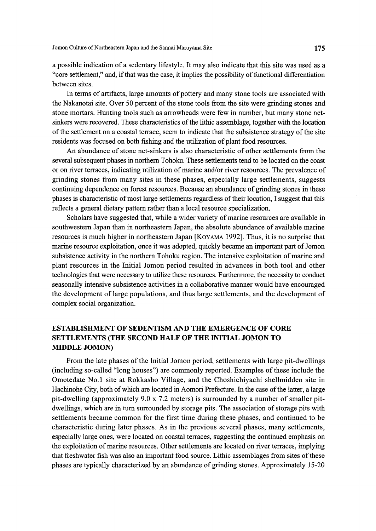a possible indication of a sedentary lifestyle. It may also indicate that this site was used as a "core settlement," and, if that was the case, it implies the possibility of functional differentiation between sites.

In terms of artifacts, large amounts of pottery and many stone tools are associated with the Nakanotai site. Over 50 percent of the stone tools from the site were grinding stones and stone mortars. Hunting tools such as arrowheads were few in number, but many stone netsinkers were recovered. These characteristics of the lithic assemblage, together with the location of the settlement on a coastal terrace, seem to indicate that the subsistence strategy of the site residents was focused on both fishing and the utilization of plant food resources.

 An abundance of stone net-sinkers is also characteristic of other settlements from the several subsequent phases in northern Tohoku. These settlements tend to be located on the coast or on river terraces, indicating utilization of marine and/or river resources. The prevalence of grinding stones from many sites in these phases, especially large settlements, suggests continuing dependence on forest resources. Because an abundance of grinding stones in these phases is characteristic of most large settlements regardless of their location, I suggest that this reflects a general dietary pattern rather than a local resource specialization.

Scholars have suggested that, while a wider variety of marine resources are available in southwestern Japan than in northeastern Japan, the absolute abundance of available marine resources is much higher in northeastern Japan [KoyAMA 1992]. Thus, it is no surprise that marine resource exploitation, once it was adopted, quickly became an important part of Jomon subsistence activity in the northern Tohoku region. The intensive exploitation of marine and plant resources in the Initial Jomon period resulted in advances in both tool and other technologies that were necessary to utilize these resources. Furthermore, the necessity to conduct seasonally intensive subsistence activities in a collaborative manner would have encouraged the development oflarge populations, and thus large settlements, and the development of complex social organization.

# ESTABLISHMENT OF SEDENTISM AND THE EMERGENCE OF CORE SETTLEMENTS (THE SECOND HALF OF THE INITIAL JOMON TO MIDDLE JOMON)

From the late phases of the Initial Jomon period, settlements with large pit-dwellings (including so-called "long houses") are commonly reported. Examples of these include the Omotedate No.i site at Rokkasho Village, and the Choshichiyachi shellmidden site in Hachinohe City, both of which are located in Aomori Prefecture. In the case of the latter, a large pit-dwelling (approximately 9.0 x 7.2 meters) is surrounded by a number of smaller pitdwellings, which are in tum surrounded by storage pits. The association of storage pits with settlements became common for the first time during these phases, and continued to be characteristic during later phases. As in the previous several phases, many settlements, especially large ones, were located on coastal terraces, suggesting the continued emphasis on the exploitation of marine resources. Other settlements are located on river terraces, implying that freshwater fish was also an important food source. Lithic assemblages from sites of these phases are typically characterized by an abundance of grinding stones. Approximately 15-20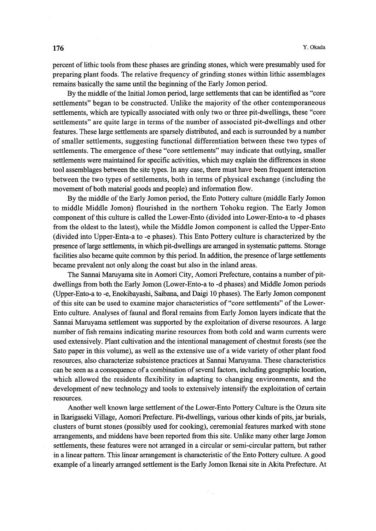percent of lithic tools from these phases are grinding stones, which were presumably used for preparing plant fbods. The relative frequency of grinding stones within lithic assemblages remains basically the same until the beginning of the Early Jomon period.

By the middle of the Initial Jomon period, large settlements that can be identified as "core" settlements" began to be constructed. Unlike the majority of the other contemporaneous settlements, which are typically associated with only two or three pit-dwellings, these "core settlements" are quite large in terms of the number of associated pit-dwellings and other features. These large settlements are sparsely distributed, and each is surrounded by a number of smaller settlements, suggesting functional differentiation between these two types of settlements. The emergence of these "core settlements" may indicate that outlying, smaller settlements were maintained for specific activities, which may explain the differences in stone tool assemblages between the site types. In any case, there must have been frequent interaction between the two types of settlements, both in terms of physical exchange (including the movement of both material goods and people) and information flow.

By the middle of the Early Jomon period, the Ento Pottery culture (middle Early Jomon to middle Middle Jomon) flourished in the northern Tohoku region. The Early Jomon component of this culture is called the Lower-Ento (divided into Lower-Ento-a to -d phases from the oldest to the latest), while the Middle Jomon component is called the Upper-Ento (divided into Upper-Enta-a to -e phases). This Ento Pottery culture is characterized by the presgnce of Iarge settlements, in which pit-dwellings are arranged in systematic patterns. Storage facilities also became quite common by this period. In addition, the presence of large settlements became prevalent not only along the coast but also in the inland areas.

The Sannai Maruyama site in Aomori City, Aomori Prefecture, contains a number of pitdwellings from both the Early Jomon (Lower-Ento-a to -d phases) and Middle Jomon periods (Upper-Ento-a to -e, Enokibayashi, Saibana, and Daigi 1O phases). The Early Jomon component ofthis site can be used to examine major characteristics of"core settlements" ofthe Lower-Ento culture. Analyses of faunal and floral remains from Early Jomon layers indicate that the Sarmai Maruyama settlement was supported by the exploitation of diverse resources. A large number of fish remains indicating marine resources from both cold and warrn currents were used extensively. Plant cultivation and the intentional management of chestnut forests (see the Sato paper in this volume), as well as the extensive use of a wide variety of other plant food resources, also characterize subsistence practices at Sannai Maruyama. These characteristics can be seen as a consequence of a combination of several factors, including geographic location, which allowed the residents flexibility in adapting to changing environments, and the development of new technology and tools to extensively intensify the exploitation of certain resources.

Another well known large settlement of the Lower-Ento Pottery Culture is the Ozura site in lkarigaseki Village, Aomori Prefecture. Pit-dwellings, various other kmds ofpits, jar burials, clusters of burnt stones (possibly used for cooking), ceremonial features marked with stone arrangements, and middens have been reported from this site. Unlike many other 1arge Jomon settlements, these features were not arranged in a circular or semi-circular pattern, but rather in a linear pattern. This 1inear arrangement is characteristic ofthe Ento Pottery culture. A good example of a linearly arranged settlement is the Early Jomon Ikenai site in Akita Prefecture. At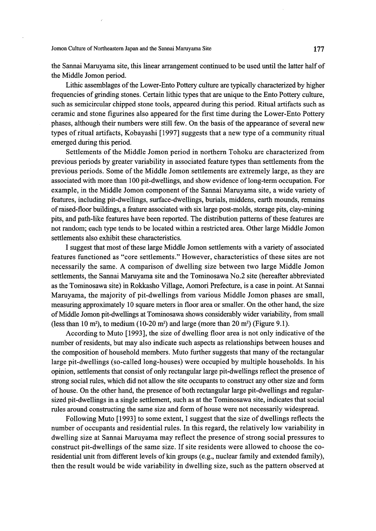Jomon Culture of Northeastern Japan and the Sannai Maruyama Site 177

the Sannai Maruyama site, this linear arrangement continued to be used until the latter halfof the Middle Jomon period.

Lithic assemblages of the Lower-Ento Pottery culture are typically characterized by higher frequencies of grinding stones. Certain lithic types that are unique to the Ento Pottery culture, such as semicircular chipped stone tools, appeared during this period. Ritual artifacts such as ceramic and stone figurines also appeared fbr the first time during the Lower-Ento Pottery phases, although their numbers were still few. On the basis of the appearance of several new types of ritual artifacts, Kobayashi [1997] suggests that a new type of a community ritual emerged during this period.

Settlements of the Middle Jomon period in northern Tohoku are characterized from previous periods by greater variability in associated feature types than settlements from the previous periods. Some of the Middle Jomon settlements are extremely large, as they are associated with more than 1OO pit-dwellings, and show evidence oflong-term occupation. For example, in the Middle Jomon component of the Sannai Maruyama site, a wide variety of features, including pit-dwellings, surface-dwellings, burials, middens, earth mounds, remains ofraised-floor bui1dmgs, a feature associated with six 1arge post-molds, storage pits, clay-mining pits, and path-like features have been reported. The distribution patterns of these features are not random; each type tends to be located within a restricted area. Other 1arge Middle Jomon settlements also exhibit these characteristics.

I suggest that most of these large Middle Jomon settlements with a variety of associated features functioned as "core settlements." However, characteristics of these sites are not necessarily the same. A comparison of dwelling size between two large Middle Jomon settlements, the Sannai Maruyama site and the Tominosawa No.2 site (hereafter abbreviated as the Tominosawa site) in Rokkasho Village, Aomori Prefecture, is a case in point. At Sannai Maruyama, the majority of pit-dwellings from various Middle Jomon phases are small, measuring approximately 1O square meters in floor area or smaller. On the other hand, the size of Middle Jomon pit-dwellings at Tominosawa shows considerably wider variability, from small (less than 10 m<sup>2</sup>), to medium (10-20 m<sup>2</sup>) and large (more than 20 m<sup>2</sup>) (Figure 9.1).

 According to Muto [1993], the size of dwelling floor area is not only indicative ofthe number ofresidents, but may also indicate such aspects as relationships between houses and the composition of household members. Muto further suggests that many of the rectangular large pit-dwellings (so-called long-houses) were occupied by multiple households. In his opinion, settlements that consist of only rectangular 1arge pit-dwellings reflect the presence of strong social rules, which did not allow the site occupants to construct any other size and form of house. On the other hand, the presence of both rectangular large pit-dwellings and regularsized pit-dwellings in a single settlement, such as at the Tominosawa site, indicates that social rules around constructing the same size and form of house were not necessarily widespread.

 Following Muto [1993] to some extent, I suggest that the size of dwellings refiects the number of occupants and residential rules. In this regard, the relatively low variability in dwelling size at Sannai Maruyama may reflect the presence of strong social pressures to construct pit-dwellings of the same size. If site residents were allowed to choose the coresidential unit from different levels of kin groups (e.g., nuclear family and extended family), then the result would be wide variability in dwelling size, such as the pattern observed at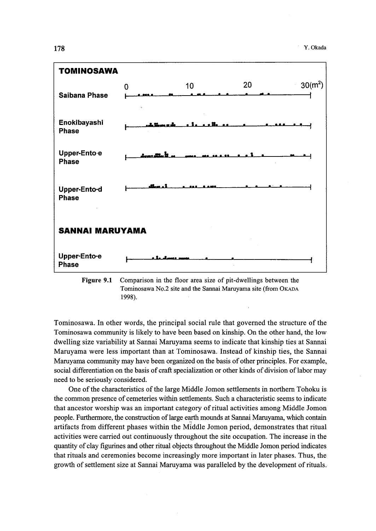

Figure 9.1 Comparison in the floor area size of pit-dwellings between the Tominosawa No.2 site and the Sannai Maruyama site (from OKADA 1998).

Tominosawa. In other words, the principal social rule that governed the structure of the Tominosawa community is likely to have been based on kinship. On the other hand, the low dwelling size variability at Sannai Maruyama seems to indicate that kinship ties at Sannai Maruyama were less important than at Tominosawa. Instead of kinship ties, the Sannai Maruyama community may have been organized on the basis of other principles. For example, social differentiation on the basis of craft specialization or other kinds of division of labor may need to be seriously considered.

One of the characteristics of the large Middle Jomon settlements in northern Tohoku is the common presence of cemeteries within settlements. Such a characteristic seems to indicate that ancestor worship was an important category of ritual activities among Middle Jomon people. Furthermore, the construction of large earth mounds at Sannai Maruyama, which contain artifacts from different phases within the Middle Jomon period, demonstrates that ritual activities were carried out continuously throughout the site occupation. The increase in the quantity of clay figurines and other ritual objects throughout the Middle Jomon period indicates that rituals and ceremonies become increasingly more important in later phases. Thus, the growth of settlement size at Sannai Maruyama was paralleled by the development of rituals.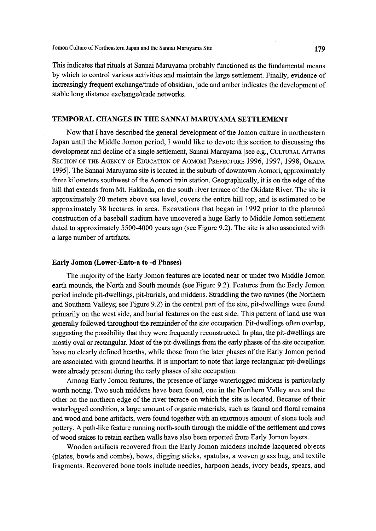This indicates that rituals at Sannai Maruyama probably functioned as the fundamental means by which to control various activities and maintain the large settlement. Finally, evidence of increasingly frequent exchange/trade of obsidian, jade and amber indicates the development of stable long distance exchange/trade networks.

## TEMPORAL CHANGES IN THE SANNAI MARUYAMA SETTLEMENT

 Now that I have described the general development of the Jomon culture in northeastern Japan until the Middle Jomon period, I would like to devote this section to discussing the development and decline of a single settlement, Sannai Maruyama [see e.g., CULTURAL AFFAIRS SECTION OF THE AGENCY OF EDUCATION OF AOMORI PREFECTURE 1996, 1997, 1998, OKADA 1995]. The Sannai Maruyama site is located in the suburb of downtown Aomori, approximately three kilometers southwest of the Aomori train station. Geographically, it is on the edge of the hill that extends from Mt. Hakkoda, on the south river terrace of the Okidate River. The site is approximately 20 meters above sea level, covers the entire hill top, and is estimated to be approximately 38 hectares in area. Excavations that began in 1992 prior to the planned constmction of a baseball stadium have uncovered a huge Early to Middle Jomon settlement dated to approximately 5500-4000 years ago (see Figure 9.2). The site is also associated with a large number of artifacts.

## Early Jomon (Lower-Ento-a to -d Phases)

The majority of the Early Jomon features are located near or under two Middle Jomon earth mounds, the North and South mounds (see Figure 9.2). Features from the Early Jomon period include pit-dwellings, pit-burials, and middens. Straddling the two ravines (the Northern and Southern Valleys; see Figure 9.2) in the central part of the site, pit-dwellings were found primarily on the west side, and burial features on the east side. This pattern of land use was generally followed throughout the remainder of the site occupation. Pit-dwellings often overlap, suggesting the possibility that they were frequently reconstmcted. In plan, the pit-dwellings are mostly oval or rectangular. Most of the pit-dwellings from the early phases of the site occupation have no clearly defined hearths, while those from the later phases of the Early Jomon period are associated with ground hearths. It is important to note that large rectangular pit-dwellings were aiready present during the early phases of site occupation.

Among Early Jomon features, the presence of large waterlogged middens is particularly worth noting. Two such middens have been found, one in the Northern Valley area and the other on the northern edge of the river terrace on which the site is located. Because of their waterlogged condition, a large amount of organic materials, such as faunal and floral remains and wood and bone artifacts, were found together with an enormous amount of stone tools and pottery. A path-like feature running north-south through the middle of the settlement and rows ofwood stakes to retain earthen walls have also been reported from Early Jomon layers.

 Wooden artifacts recovered from the Early Jomon middens include lacquered objects (plates, bowls and combs), bows, digging sticks, spatulas, a woven grass bag, and textile fragments. Recovered bone tools include needles, harpoon heads, ivory beads, spears, and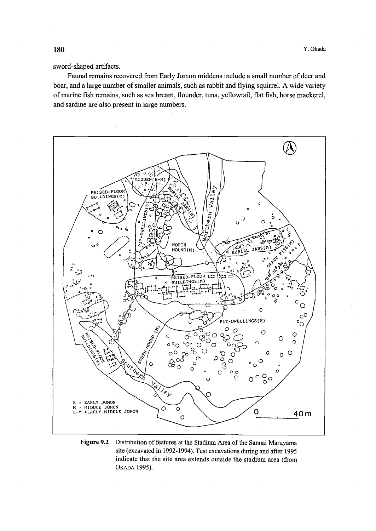sword-shaped artifacts.

Faunal remains recovered from Early Jomon middens include a small number of deer and boar, and a large number of smaller animals, such as rabbit and flying squirrel. A wide variety of marine fish remains, such as sea bream, flounder, tuna, yellowtail, flat fish, horse mackerel, and sardine are also present in large numbers.



Figure 9.2 Distribution of features at the Stadium Area of the Sannai Maruyama site (excavated in 1992-1994). Test excavations during and after 1995 indicate that the site area extends outside the stadium area (from OKADA 1995).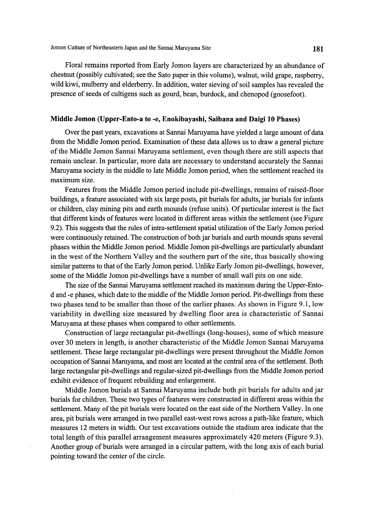Jomon Culture of Northeastern Japan and the Sannai Maruyama Site 181

 Floral remains reported from Early Jomon layers are characterized by an abundance of chestnut (possibly cultivated; see the Sato paper in this volume), walnut, wild grape, raspberry, wild kiwi, mulberry and elderberry. In addition, water sieving of soil samples has revealed the presence of seeds of cultigens such as gourd, bean, burdock, and chenopod (goosefoot).

## Middle Jomon (Upper-Ento-a to -e, Enokibayashi, Saibana and Daigi 10 Phases)

 Over the past years, excavations at Sannai Maruyama have yielded a 1arge amount of data from the Middle Jomon period. Examination of these data allows us to draw a general picture of the Middle Jomon Sannai Maruyama settlement, even though there are still aspects that remain unclear. In particular, more data are necessary to understand accurately the Sannai Maruyama society in the middle to late Middle Jomon period, when the settlement reached its maximum size.

 Features from the Middle Jomon period include pit-dwellings, remains ofraised-floor buildings, a feature associated with six large posts, pit burials for adults, jar burials fbr infants or children, clay mining pits and earth mounds (refuse units). Of particular interest is the fact that different knds of features were located in different areas within the settlement (see Figure 9.2). This suggests that the rules of intra-settlement spatial utilization of the Early Jomon period were continuously retained. The construction of both jar burials and earth mounds spans several phases within the Middle Jomon period. Middle Jomon pit-dwellings are particularly abundant in the west of the Northern Valley and the southern part of the site, thus basically showing similar patterns to that of the Early Jomon period. Unlike Early Jomon pit-dwellings, however, some of the Middle Jomon pit-dwellings have a number of small wall pits on one side.

The size of the Sannai Maruyama settlement reached its maximum during the Upper-Entod and -e phases, which date to the middle of the Middle Jomon period. Pit-dwellings from these two phases tend to be smaller than those of the earlier phases. As shown in Figure 9.1, low variability in dwelling size measured by dwelling floor area is characteristic of Sannai Maruyama at these phases when compared to other settlements.

 Construction of large rectangular pit-dwellings (long-houses), some of which measure over 30 meters in length, is another characteristic of the Middle Jomon Sannai Maruyama settlement. These large rectangular pit-dwellings were present throughout the Middle Jomon occupation ofSannai Maruyama, and most are located at the central area ofthe settlement. Both large rectangular pit-dwellings and regular-sized pit-dwellings from the Middle Jomon period exhibit evidence of frequent rebuilding and enlargement.

 Middle Jomon burials at Sannai Maruyama include both pit burials for adults andjar burials for children. These two types of features were constructed in different areas within the settlement. Many of the pit burials were located on the east side of the Northern Valley. In one area, pit burials were arranged in two parallel east-west rows across a path-like feature, which measures 12 meters in width. Our test excavations outside the stadium area indicate that the total length of this parallel arrangement measures approximately 420 meters (Figure 9.3). Another group of burials were arranged in a circular pattern, with the long axis of each burial pointing toward the center of the circle.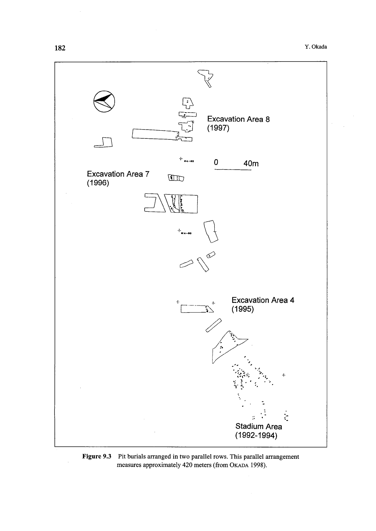

Figure 9.3 Pit burials arranged in two parallel rows. This parallel arrangement measures approximately 420 meters (from OKADA 1998).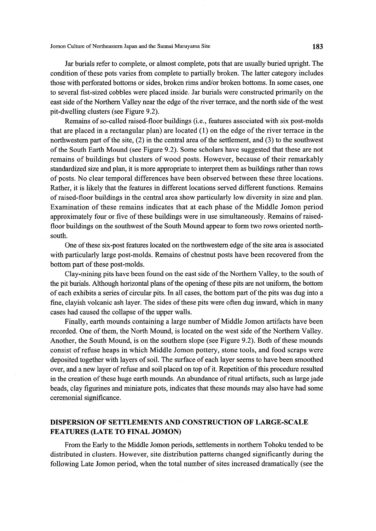Jomon Culture of Northeastern Japan and the Sannai Maruyama Site 183

 Jar burials refer to complete, or almost complete, pots that are usually buried upright. The condition of these pots varies from complete to partially broken. The latter category includes those with perforated bottoms or sides, broken rims and/or broken bottoms. In some cases, one to several fist-sized cobbles were placed inside. Jar burials were constmcted primarily on the east side of the Northern Valley near the edge of the river terrace, and the north side of the west pit-dwelling clusters (see Figure 9.2).

 Remains of so-called raised-floor buildings (i.e., features associated with six post-molds that are placed in a rectangular plan) are located  $(1)$  on the edge of the river terrace in the northwestern part of the site,  $(2)$  in the central area of the settlement, and  $(3)$  to the southwest ofthe South Earth Mound (see Figure 9.2). Some scholars have suggested that these are not remains of buildings but clusters of wood posts. However, because of their remarkably standardized size and plan, it is more appropriate to interpret them as buildings rather than rows of posts. No clear temporal differences have been observed between these three locations. Rather, it is likely that the features in different locations served different functions. Remains ofraised-floor buildings in the central area show particularly low diversity in size and plan. Examination of these remains indicates that at each phase of the Middle Jomon period approximately four or five of these buildings were in use simultaneously. Remains of raisedfloor buildings on the southwest of the South Mound appear to form two rows oriented northsouth.

 One ofthese six-post features located on the nonhwestern edge ofthe site area is associated with particularly large post-molds. Remains of chestnut posts have been recovered from the bottom part of these post-molds.

Clay-mining pits have been found on the east side of the Northern Valley, to the south of the pit burials. Although horizontal plans of the opening of these pits are not uniform, the bottom of each exhibits a series of circular pits. In all cases, the bottom part of the pits was dug into a fine, clayish volcanic ash layer. The sides of these pits were often dug inward, which in many cases had caused the collapse of the upper walls.

Finally, earth mounds containing a large number of Middle Jomon artifacts have been recorded. One of them, the North Mound, is located on the west side of the Northern Valley. Another, the South Mound, is on the southem slope (see Figure 9.2). Both of these mounds consist ofrefuse heaps in which Middle Jomon pottery, stone tools, and food scraps were deposited together with layers of soil. The surface of each layer seems to have been smoothed over, and a new layer of refuse and soil placed on top of it. Repetition of this procedure resulted in the creation of these huge earth mounds. An abundance of ritual artifacts, such as large jade beads, clay figurines and miniature pots, indicates that these mounds may also have had some ceremonial significance.

# DISPERSION OF SETTLEMENTS AND CONSTRUCTION OF LARGE-SCALE FEATURES (LATE TO FINAL JOMON)

 From the Early to the Middle Jomon periods, settlements in northern Tohoku tended to be distributed in clusters. However, site distribution patterns changed significantly during the fo11owing Late Jomon period, when the total number of sites increased dramatically (see the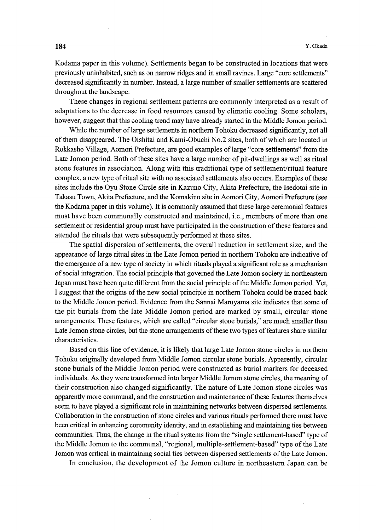Kodama paper in this volume). Settlements began to be constructed in locations that were previously uninhabited, such as on narrow ridges and in small ravines. Large "core settlements" decreased significantly in number. Instead, a 1arge number ofsmaller settlements are scattered throughout the landscape.

 These changes in regional settlement patterns are commonly interpreted as a result of adaptations to the decrease in food resources caused by climatic cooling. Some scholars, however, suggest that this cooling trend may have already started in the Middle Jomon period.

 While the number oflarge settlements in northern Tohoku decreased significantly, not all of them disappeared. The Oishitai and Kami-Obuchi No.2 sites, both of which are located in Rokkasho Village, Aomori Prefecture, are good examples of large "core settlements" from the Late Jomon period. Both of these sites have a large number of pit-dwellings as well as ritual stone features in association. Along with this traditional type of settlement/ritual feature complex, a new type of ritual site with no associated settlements also occurs. Examples of these sites include the Oyu Stone Circle site in Kazuno City, Akita Prefecture, the Isedotai site in Takasu Town, Akita Prefecture, and the Komakino site in Aomori City, Aomori Prefecture (see the Kodama paper in this volume). It is commonly assumed that these large ceremonial features must have been communally constructed and maintained, i.e., members of more than one settlement or residential group must have participated in the construction of these features and attended the rituals that were subsequently performed at these sites.

The spatial dispersion of settlements, the overall reduction in settlement size, and the appearance of large ritual sites in the Late Jomon period in northern Tohoku are indicative of the emergence ofa new type of society in which rituals played a significant role as a mechanism of social integration. The social principle that governed the Late Jomon society in northeastern Japan must have been quite different from the social principle of the Middle Jomon period. Yet, I suggest that the origins of the new social principle in northern Tohoku could be traced back to the Middle Jomon period. Evidence from the Sannai Maruyama site indicates that some of the pit burials from the late Middle Jomon period are marked by small, circular stone arrangements. These features, which are called "circular stone burials," are much smaller than Late Jomon stone circles, but the stone arrangements of these two types of features share similar characteristics.

Based on this line of evidence, it is likely that large Late Jomon stone circles in northern Tohoku originally developed from Middle Jomon circular stone burials. Apparently, circular stone burials of the Middle Jomon period were constructed as burial markers for deceased individuals. As they were transformed into larger Middle Jomon stone circles, the meaning of their construction also changed significantly. The nature of Late Jomon stone circles was apparently more communal, and the construction and maintenance ofthese features themselves seem to have played a significant role in maintaining networks between dispersed settlements. Collaboration in the constmction of stone circles and various rituals performed there must have been critical in enhancing community identity, and in establishng and maintaming ties between communities. Thus, the change in the ritual systems from the "single settlement-based" type of the Middle Jomon to the communal, "regional, multiple-settlement-based" type of the Late Jomon was critical in maintaining social ties between dispersed settlements of the Late Jomon.

In conclusion, the development of the Jomon culture in northeastern Japan can be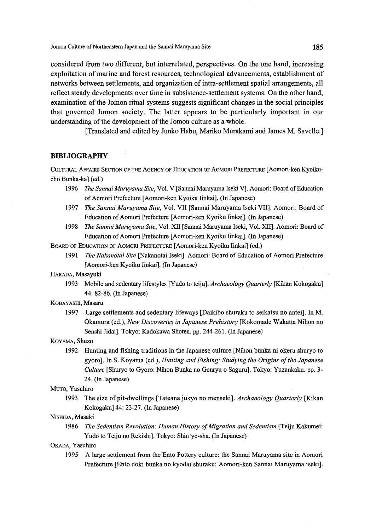Jomon Culture of Northeastem Japan and the Sannai Maruyama Site 185

considered from two different, but interrelated, perspectives. On the one hand, increasing exploitation of marine and forest resources, technological advancements, establishment of networks between settlements, and organization of intra-settlement spatial arrangements, all reflect steady developments over time in subsistence-settlement systems. On the other hand, examination ofthe Jomon ritual systems suggests significant changes in the social principles that governed Jomon society. The latter appears to be particularly important in our understanding of the development of the Jomon culture as a whole.

[Translated and edited by Junko Habu, Mariko Murakarni and James M. Savelle.]

## **BIBLIOGRAPHY**

CUI.TURAI. AFFAIRS SECTION OF THE AGENCY OF EDuCATIoN oF AoMoRI PREFEcTuRE [Aomori-ken Kyoikucho Bunka-ka] (ed.)

- 1996 The Sannai Maruyama Site, Vol. V [Sannai Maruyama Iseki V]. Aomori: Board of Education of Aomori Prefecture [Aomori-ken Kyoiku Iinkai]. (In Japanese)
- 1997 The Sannai Maruyama Site, Vol. VII [Sannai Maruyama Iseki VII]. Aomori: Board of Education of Aomori Prefecture [Aomori-ken Kyoiku Iinkai]. (In Japanese)
- 1998 The Sannai Maruyama Site, Vol. XII [Sannai Maruyama Iseki, Vol. XII]. Aomori: Board of Education of Aomori Prefecture [Aomori-ken Kyoiku Iinkai]. (In Japanese)

BOARD OF EDucATIoN oF AoMoRI PREFEcTuRE [Aomori-ken Kyoiku Iinkai] (ed.)

- 1991 The Nakanotai Site [Nakanotai Iseki]. Aomori: Board of Education of Aomori Prefecture [Aomori-ken Kyoiku Iinkai]. (In Japanese)
- HARADA, Masayuki
	- 1993 Mobile and sedentary lifestyles [Yudo to teiju]. Archaeology Quarterly [Kikan Kokogaku] 44: 82-86. (In Japanese)

### KOBAyASHI, Masaru

 1997 Large settlements and sedentary lifeways [Daikibo shuraku to seikatsu no antei]. In M. Okamura (ed.), New Discoveries in Japanese Prehistory [Kokomade Wakatta Nihon no Senshi Jidai]. Tokyo: Kadokawa Shoten. pp. 244-261. (In Japanese)

#### KoyAMA, Shuzo

 1992 Hunting and fishing traditions in the Japanese culture [Nihon bunka ni okeru shuryo to gyoro]. In S. Koyama (ed.), Hunting and Fishing: Studying the Origins of the Japanese Culture [Shuryo to Gyoro: Nihon Bunka no Genryu o Saguru]. Tokyo: Yuzankaku. pp. 3- 24. (in Japanese)

### MuTo, Yasuhiro

1993 The size of pit-dwellings [Tateana jukyo no menseki]. Archaeology Quarterly [Kikan] Kokogaku] 44: 23-27. (In Japanese)

#### NIsHIDA, Masaki

1986 The Sedentism Revolution: Human History of Migration and Sedentism [Teiju Kakumei: Yudo to Teiju no Rekishi]. Tokyo: Shin'yo-sha. (In Japanese)

### OKADA, Yasuhiro

 1995 A large settlement from the Ento Pottery culture: the Sannai Maruyama site in Aomori Prefecture [Ento doki bunka no kyodai shuraku: Aomori-ken Sannai Maruyama iseki].